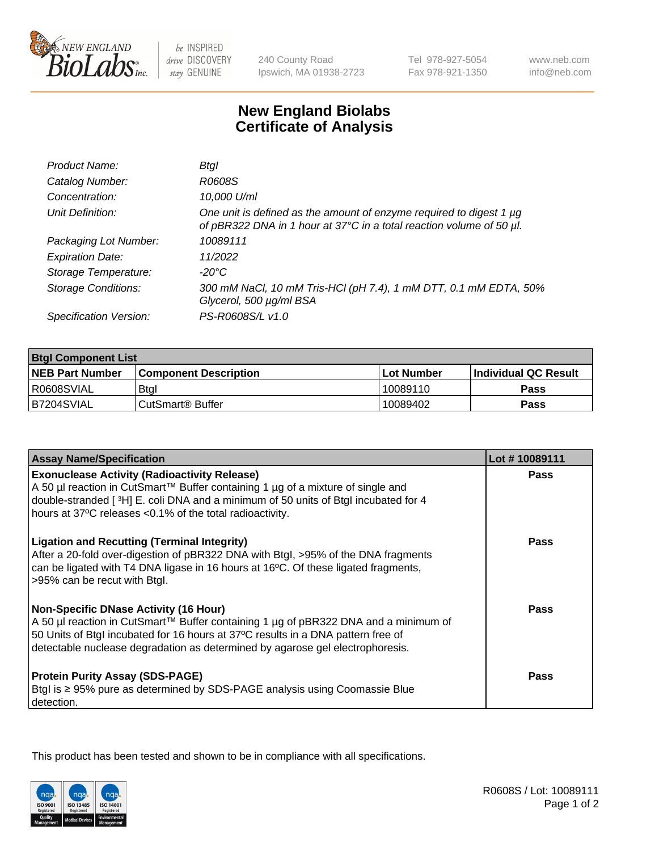

be INSPIRED drive DISCOVERY stay GENUINE

240 County Road Ipswich, MA 01938-2723 Tel 978-927-5054 Fax 978-921-1350

www.neb.com info@neb.com

## **New England Biolabs Certificate of Analysis**

| Product Name:              | Btgl                                                                                                                                             |
|----------------------------|--------------------------------------------------------------------------------------------------------------------------------------------------|
| Catalog Number:            | R0608S                                                                                                                                           |
| Concentration:             | 10,000 U/ml                                                                                                                                      |
| Unit Definition:           | One unit is defined as the amount of enzyme required to digest 1 $\mu$ g<br>of pBR322 DNA in 1 hour at 37°C in a total reaction volume of 50 µl. |
| Packaging Lot Number:      | 10089111                                                                                                                                         |
| <b>Expiration Date:</b>    | 11/2022                                                                                                                                          |
| Storage Temperature:       | $-20^{\circ}$ C                                                                                                                                  |
| <b>Storage Conditions:</b> | 300 mM NaCl, 10 mM Tris-HCl (pH 7.4), 1 mM DTT, 0.1 mM EDTA, 50%<br>Glycerol, 500 µg/ml BSA                                                      |
| Specification Version:     | PS-R0608S/L v1.0                                                                                                                                 |

| <b>Btgl Component List</b> |                              |             |                             |  |
|----------------------------|------------------------------|-------------|-----------------------------|--|
| <b>NEB Part Number</b>     | <b>Component Description</b> | ⊺Lot Number | <b>Individual QC Result</b> |  |
| I R0608SVIAL               | <b>Btgl</b>                  | 10089110    | Pass                        |  |
| B7204SVIAL                 | l CutSmart® Buffer           | 10089402    | Pass                        |  |

| <b>Assay Name/Specification</b>                                                                                                                                                                                                                                                                          | Lot #10089111 |
|----------------------------------------------------------------------------------------------------------------------------------------------------------------------------------------------------------------------------------------------------------------------------------------------------------|---------------|
| <b>Exonuclease Activity (Radioactivity Release)</b>                                                                                                                                                                                                                                                      | Pass          |
| A 50 µl reaction in CutSmart™ Buffer containing 1 µg of a mixture of single and<br>double-stranded [3H] E. coli DNA and a minimum of 50 units of Btgl incubated for 4<br>hours at 37°C releases <0.1% of the total radioactivity.                                                                        |               |
| <b>Ligation and Recutting (Terminal Integrity)</b><br>After a 20-fold over-digestion of pBR322 DNA with Btgl, >95% of the DNA fragments<br>can be ligated with T4 DNA ligase in 16 hours at 16°C. Of these ligated fragments,<br>>95% can be recut with Btgl.                                            | <b>Pass</b>   |
| <b>Non-Specific DNase Activity (16 Hour)</b><br>A 50 µl reaction in CutSmart™ Buffer containing 1 µg of pBR322 DNA and a minimum of<br>50 Units of Btgl incubated for 16 hours at 37°C results in a DNA pattern free of<br>detectable nuclease degradation as determined by agarose gel electrophoresis. | <b>Pass</b>   |
| <b>Protein Purity Assay (SDS-PAGE)</b><br>Btgl is ≥ 95% pure as determined by SDS-PAGE analysis using Coomassie Blue<br>detection.                                                                                                                                                                       | Pass          |

This product has been tested and shown to be in compliance with all specifications.